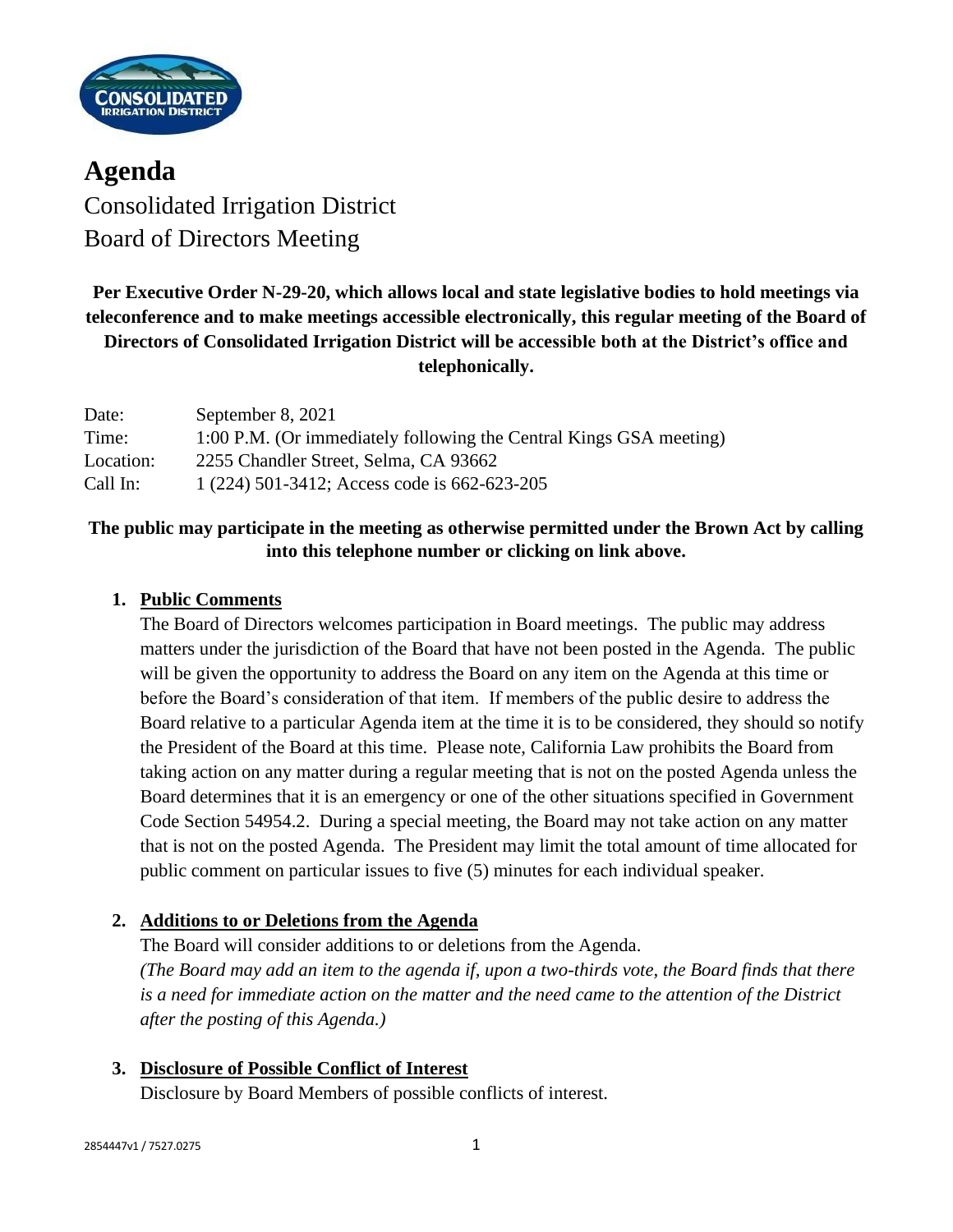

**Agenda** Consolidated Irrigation District Board of Directors Meeting

# **Per Executive Order N-29-20, which allows local and state legislative bodies to hold meetings via teleconference and to make meetings accessible electronically, this regular meeting of the Board of Directors of Consolidated Irrigation District will be accessible both at the District's office and telephonically.**

| Date:     | September 8, 2021                                                  |
|-----------|--------------------------------------------------------------------|
| Time:     | 1:00 P.M. (Or immediately following the Central Kings GSA meeting) |
| Location: | 2255 Chandler Street, Selma, CA 93662                              |
| Call In:  | $1(224)$ 501-3412; Access code is 662-623-205                      |

## **The public may participate in the meeting as otherwise permitted under the Brown Act by calling into this telephone number or clicking on link above.**

### **1. Public Comments**

The Board of Directors welcomes participation in Board meetings. The public may address matters under the jurisdiction of the Board that have not been posted in the Agenda. The public will be given the opportunity to address the Board on any item on the Agenda at this time or before the Board's consideration of that item. If members of the public desire to address the Board relative to a particular Agenda item at the time it is to be considered, they should so notify the President of the Board at this time. Please note, California Law prohibits the Board from taking action on any matter during a regular meeting that is not on the posted Agenda unless the Board determines that it is an emergency or one of the other situations specified in Government Code Section 54954.2. During a special meeting, the Board may not take action on any matter that is not on the posted Agenda. The President may limit the total amount of time allocated for public comment on particular issues to five (5) minutes for each individual speaker.

## **2. Additions to or Deletions from the Agenda**

The Board will consider additions to or deletions from the Agenda. *(The Board may add an item to the agenda if, upon a two-thirds vote, the Board finds that there is a need for immediate action on the matter and the need came to the attention of the District after the posting of this Agenda.)*

**3. Disclosure of Possible Conflict of Interest**

Disclosure by Board Members of possible conflicts of interest.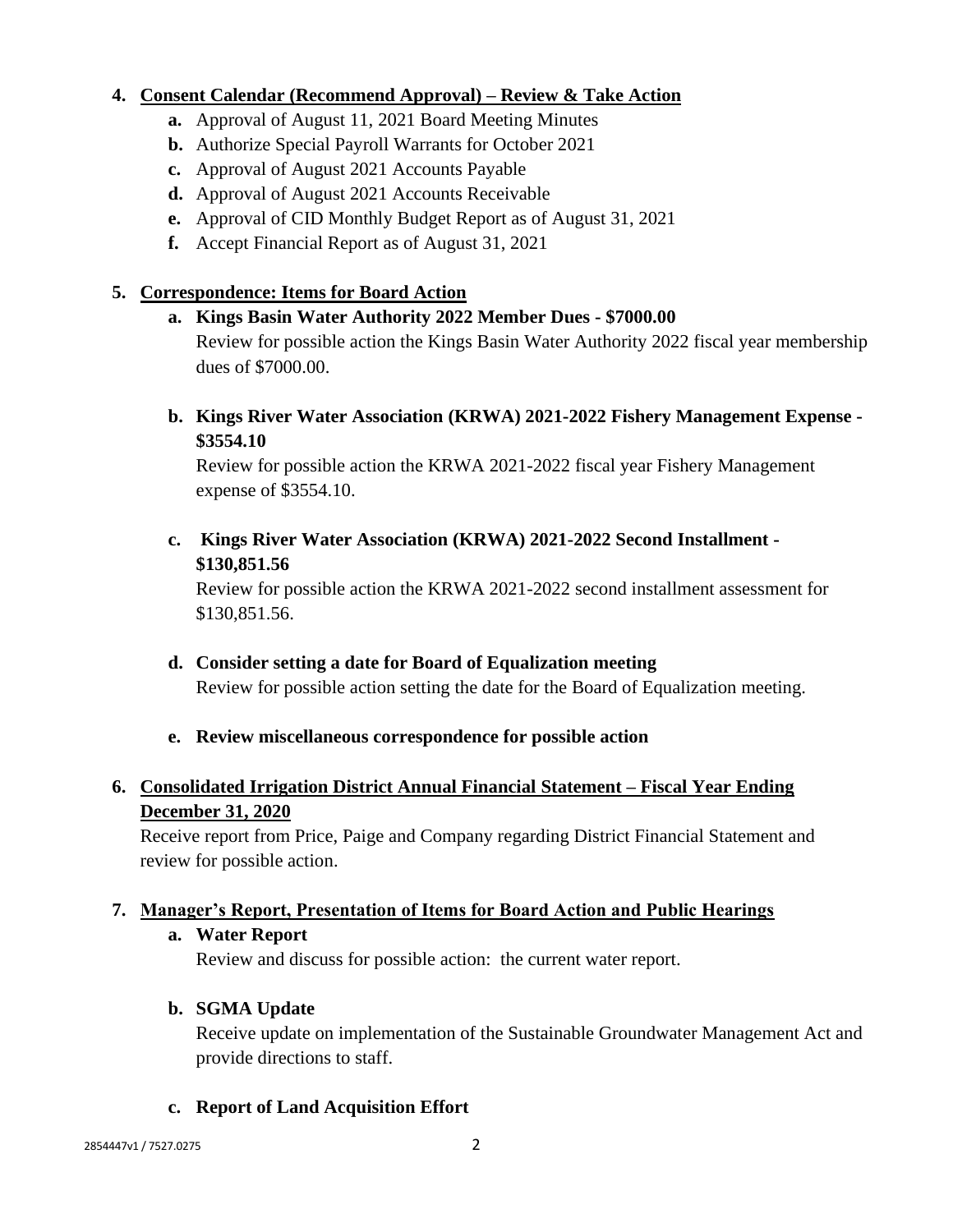#### **4. Consent Calendar (Recommend Approval) – Review & Take Action**

- **a.** Approval of August 11, 2021 Board Meeting Minutes
- **b.** Authorize Special Payroll Warrants for October 2021
- **c.** Approval of August 2021 Accounts Payable
- **d.** Approval of August 2021 Accounts Receivable
- **e.** Approval of CID Monthly Budget Report as of August 31, 2021
- **f.** Accept Financial Report as of August 31, 2021

### **5. Correspondence: Items for Board Action**

#### **a. Kings Basin Water Authority 2022 Member Dues - \$7000.00**

Review for possible action the Kings Basin Water Authority 2022 fiscal year membership dues of \$7000.00.

**b. Kings River Water Association (KRWA) 2021-2022 Fishery Management Expense - \$3554.10**

Review for possible action the KRWA 2021-2022 fiscal year Fishery Management expense of \$3554.10.

**c. Kings River Water Association (KRWA) 2021-2022 Second Installment - \$130,851.56**

Review for possible action the KRWA 2021-2022 second installment assessment for \$130,851.56.

**d. Consider setting a date for Board of Equalization meeting** Review for possible action setting the date for the Board of Equalization meeting.

#### **e. Review miscellaneous correspondence for possible action**

## **6. Consolidated Irrigation District Annual Financial Statement – Fiscal Year Ending December 31, 2020**

Receive report from Price, Paige and Company regarding District Financial Statement and review for possible action.

## **7. Manager's Report, Presentation of Items for Board Action and Public Hearings**

#### **a. Water Report**

Review and discuss for possible action: the current water report.

## **b. SGMA Update**

Receive update on implementation of the Sustainable Groundwater Management Act and provide directions to staff.

#### **c. Report of Land Acquisition Effort**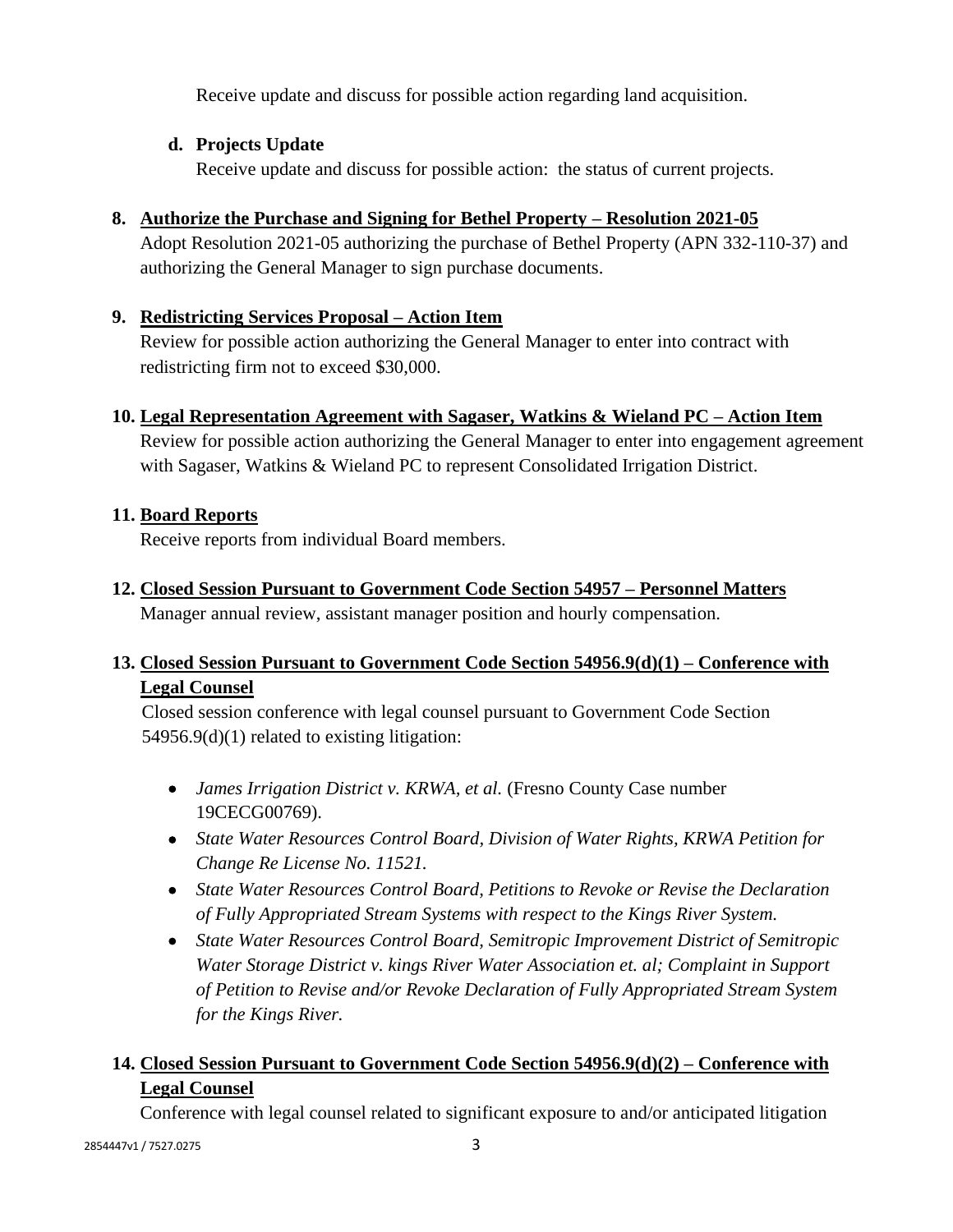Receive update and discuss for possible action regarding land acquisition.

## **d. Projects Update**

Receive update and discuss for possible action: the status of current projects.

# **8. Authorize the Purchase and Signing for Bethel Property – Resolution 2021-05**

Adopt Resolution 2021-05 authorizing the purchase of Bethel Property (APN 332-110-37) and authorizing the General Manager to sign purchase documents.

## **9. Redistricting Services Proposal – Action Item**

Review for possible action authorizing the General Manager to enter into contract with redistricting firm not to exceed \$30,000.

## **10. Legal Representation Agreement with Sagaser, Watkins & Wieland PC – Action Item**

Review for possible action authorizing the General Manager to enter into engagement agreement with Sagaser, Watkins & Wieland PC to represent Consolidated Irrigation District.

## **11. Board Reports**

Receive reports from individual Board members.

**12. Closed Session Pursuant to Government Code Section 54957 – Personnel Matters**

Manager annual review, assistant manager position and hourly compensation.

# **13. Closed Session Pursuant to Government Code Section 54956.9(d)(1) – Conference with Legal Counsel**

Closed session conference with legal counsel pursuant to Government Code Section 54956.9(d)(1) related to existing litigation:

- *James Irrigation District v. KRWA, et al.* (Fresno County Case number 19CECG00769).
- *State Water Resources Control Board, Division of Water Rights, KRWA Petition for Change Re License No. 11521.*
- *State Water Resources Control Board, Petitions to Revoke or Revise the Declaration of Fully Appropriated Stream Systems with respect to the Kings River System.*
- *State Water Resources Control Board, Semitropic Improvement District of Semitropic Water Storage District v. kings River Water Association et. al; Complaint in Support of Petition to Revise and/or Revoke Declaration of Fully Appropriated Stream System for the Kings River.*

# **14. Closed Session Pursuant to Government Code Section 54956.9(d)(2) – Conference with Legal Counsel**

Conference with legal counsel related to significant exposure to and/or anticipated litigation